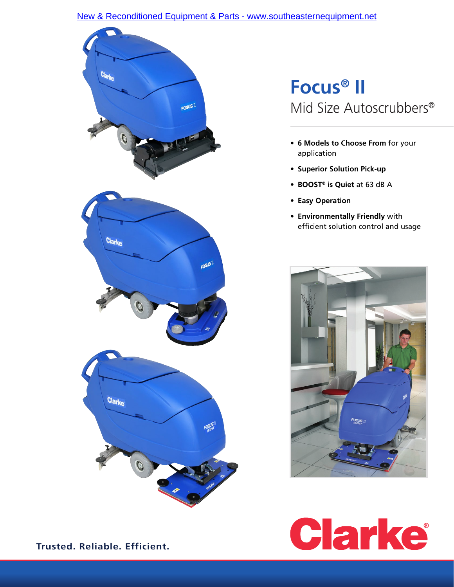### [New & Reconditioned Equipment & Parts - www.southeasternequipment.net](http://www.southeasternequipment.net)



# **Focus® II** Mid Size Autoscrubbers®

- **• 6 Models to Choose From** for your application
- **• Superior Solution Pick-up**
- **• BOOST® is Quiet** at 63 dB A
- **• Easy Operation**
- **• Environmentally Friendly** with efficient solution control and usage





**Trusted. Reliable. Efficient.**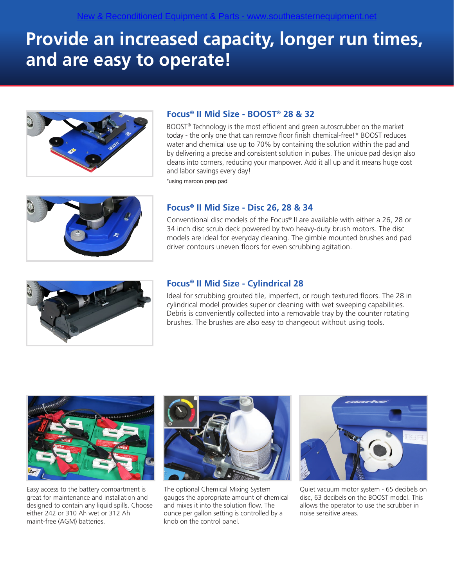# **Provide an increased capacity, longer run times, and are easy to operate!**



## **Focus® II Mid Size - BOOST® 28 & 32**

BOOST® Technology is the most efficient and green autoscrubber on the market today - the only one that can remove floor finish chemical-free!\* BOOST reduces water and chemical use up to 70% by containing the solution within the pad and by delivering a precise and consistent solution in pulses. The unique pad design also cleans into corners, reducing your manpower. Add it all up and it means huge cost and labor savings every day! \*using maroon prep pad



## **Focus® II Mid Size - Disc 26, 28 & 34**

Conventional disc models of the Focus® II are available with either a 26, 28 or 34 inch disc scrub deck powered by two heavy-duty brush motors. The disc models are ideal for everyday cleaning. The gimble mounted brushes and pad driver contours uneven floors for even scrubbing agitation.



#### **Focus® II Mid Size - Cylindrical 28**

Ideal for scrubbing grouted tile, imperfect, or rough textured floors. The 28 in cylindrical model provides superior cleaning with wet sweeping capabilities. Debris is conveniently collected into a removable tray by the counter rotating brushes. The brushes are also easy to changeout without using tools.



Easy access to the battery compartment is great for maintenance and installation and designed to contain any liquid spills. Choose either 242 or 310 Ah wet or 312 Ah maint-free (AGM) batteries.



The optional Chemical Mixing System gauges the appropriate amount of chemical and mixes it into the solution flow. The ounce per gallon setting is controlled by a knob on the control panel.



Quiet vacuum motor system - 65 decibels on disc, 63 decibels on the BOOST model. This allows the operator to use the scrubber in noise sensitive areas.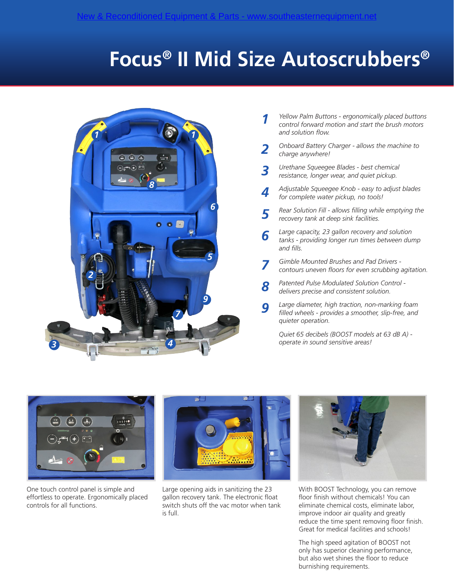# **Focus® II Mid Size Autoscrubbers®**



- *Yellow Palm Buttons ergonomically placed buttons control forward motion and start the brush motors and solution flow. 1*
- *Onboard Battery Charger allows the machine to charge anywhere! 2*
- *Urethane Squeegee Blades best chemical resistance, longer wear, and quiet pickup. 3*
- *Adjustable Squeegee Knob easy to adjust blades for complete water pickup, no tools! 4*
- *Rear Solution Fill allows filling while emptying the recovery tank at deep sink facilities. 5*
- *Large capacity, 23 gallon recovery and solution tanks - providing longer run times between dump and fills. 6*
- *Gimble Mounted Brushes and Pad Drivers contours uneven floors for even scrubbing agitation. 7*
- *Patented Pulse Modulated Solution Control delivers precise and consistent solution. 8*
- *Large diameter, high traction, non-marking foam filled wheels - provides a smoother, slip-free, and quieter operation. 9*

*Quiet 65 decibels (BOOST models at 63 dB A) operate in sound sensitive areas!*



One touch control panel is simple and effortless to operate. Ergonomically placed controls for all functions.



Large opening aids in sanitizing the 23 gallon recovery tank. The electronic float switch shuts off the vac motor when tank is full.



With BOOST Technology, you can remove floor finish without chemicals! You can eliminate chemical costs, eliminate labor, improve indoor air quality and greatly reduce the time spent removing floor finish. Great for medical facilities and schools!

The high speed agitation of BOOST not only has superior cleaning performance, but also wet shines the floor to reduce burnishing requirements.